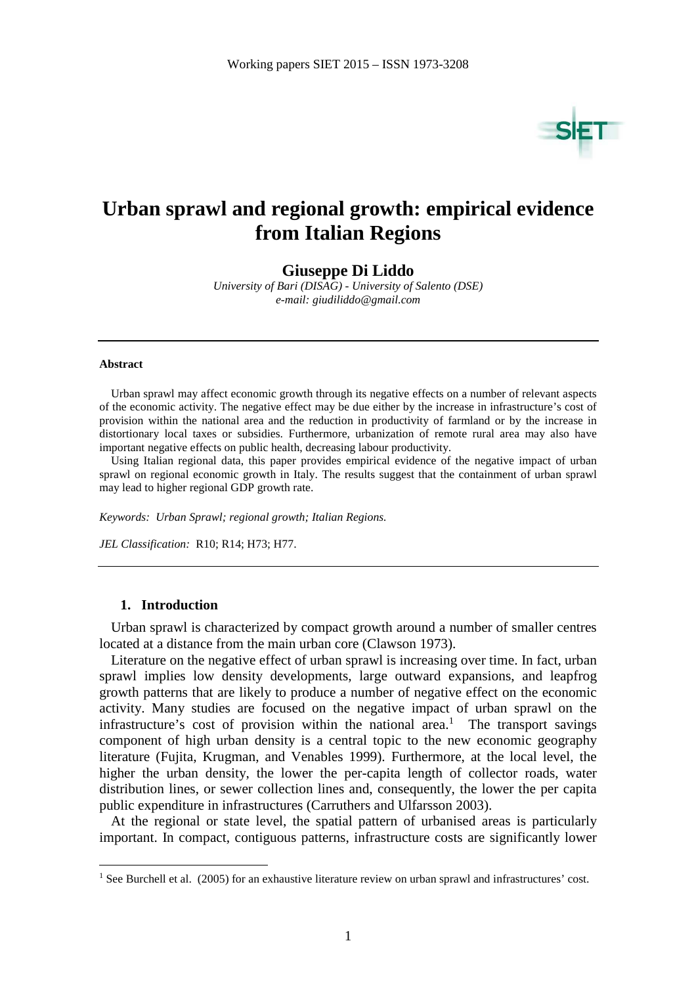

# **Urban sprawl and regional growth: empirical evidence from Italian Regions**

**Giuseppe Di Liddo** 

*University of Bari (DISAG) - University of Salento (DSE) e-mail: giudiliddo@gmail.com* 

#### **Abstract**

 $\overline{a}$ 

Urban sprawl may affect economic growth through its negative effects on a number of relevant aspects of the economic activity. The negative effect may be due either by the increase in infrastructure's cost of provision within the national area and the reduction in productivity of farmland or by the increase in distortionary local taxes or subsidies. Furthermore, urbanization of remote rural area may also have important negative effects on public health, decreasing labour productivity.

Using Italian regional data, this paper provides empirical evidence of the negative impact of urban sprawl on regional economic growth in Italy. The results suggest that the containment of urban sprawl may lead to higher regional GDP growth rate.

*Keywords: Urban Sprawl; regional growth; Italian Regions.* 

*JEL Classification:* R10; R14; H73; H77.

#### **1. Introduction**

Urban sprawl is characterized by compact growth around a number of smaller centres located at a distance from the main urban core (Clawson 1973).

Literature on the negative effect of urban sprawl is increasing over time. In fact, urban sprawl implies low density developments, large outward expansions, and leapfrog growth patterns that are likely to produce a number of negative effect on the economic activity. Many studies are focused on the negative impact of urban sprawl on the infrastructure's cost of provision within the national area.<sup>1</sup> The transport savings component of high urban density is a central topic to the new economic geography literature (Fujita, Krugman, and Venables 1999). Furthermore, at the local level, the higher the urban density, the lower the per-capita length of collector roads, water distribution lines, or sewer collection lines and, consequently, the lower the per capita public expenditure in infrastructures (Carruthers and Ulfarsson 2003).

At the regional or state level, the spatial pattern of urbanised areas is particularly important. In compact, contiguous patterns, infrastructure costs are significantly lower

<sup>&</sup>lt;sup>1</sup> See Burchell et al. (2005) for an exhaustive literature review on urban sprawl and infrastructures' cost.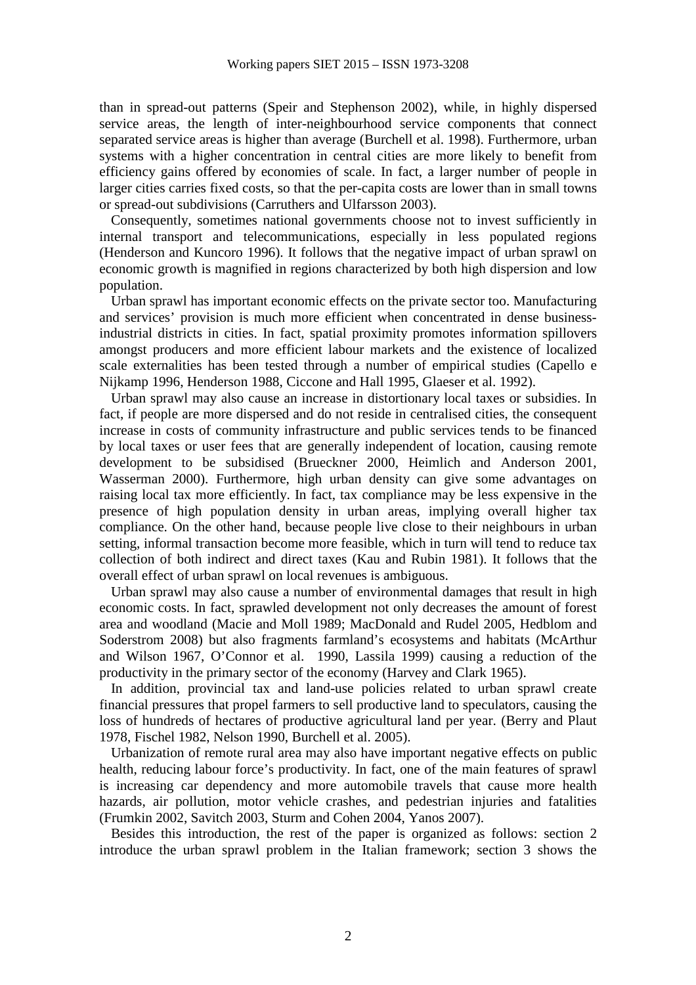than in spread-out patterns (Speir and Stephenson 2002), while, in highly dispersed service areas, the length of inter-neighbourhood service components that connect separated service areas is higher than average (Burchell et al. 1998). Furthermore, urban systems with a higher concentration in central cities are more likely to benefit from efficiency gains offered by economies of scale. In fact, a larger number of people in larger cities carries fixed costs, so that the per-capita costs are lower than in small towns or spread-out subdivisions (Carruthers and Ulfarsson 2003).

Consequently, sometimes national governments choose not to invest sufficiently in internal transport and telecommunications, especially in less populated regions (Henderson and Kuncoro 1996). It follows that the negative impact of urban sprawl on economic growth is magnified in regions characterized by both high dispersion and low population.

Urban sprawl has important economic effects on the private sector too. Manufacturing and services' provision is much more efficient when concentrated in dense businessindustrial districts in cities. In fact, spatial proximity promotes information spillovers amongst producers and more efficient labour markets and the existence of localized scale externalities has been tested through a number of empirical studies (Capello e Nijkamp 1996, Henderson 1988, Ciccone and Hall 1995, Glaeser et al. 1992).

Urban sprawl may also cause an increase in distortionary local taxes or subsidies. In fact, if people are more dispersed and do not reside in centralised cities, the consequent increase in costs of community infrastructure and public services tends to be financed by local taxes or user fees that are generally independent of location, causing remote development to be subsidised (Brueckner 2000, Heimlich and Anderson 2001, Wasserman 2000). Furthermore, high urban density can give some advantages on raising local tax more efficiently. In fact, tax compliance may be less expensive in the presence of high population density in urban areas, implying overall higher tax compliance. On the other hand, because people live close to their neighbours in urban setting, informal transaction become more feasible, which in turn will tend to reduce tax collection of both indirect and direct taxes (Kau and Rubin 1981). It follows that the overall effect of urban sprawl on local revenues is ambiguous.

Urban sprawl may also cause a number of environmental damages that result in high economic costs. In fact, sprawled development not only decreases the amount of forest area and woodland (Macie and Moll 1989; MacDonald and Rudel 2005, Hedblom and Soderstrom 2008) but also fragments farmland's ecosystems and habitats (McArthur and Wilson 1967, O'Connor et al. 1990, Lassila 1999) causing a reduction of the productivity in the primary sector of the economy (Harvey and Clark 1965).

In addition, provincial tax and land-use policies related to urban sprawl create financial pressures that propel farmers to sell productive land to speculators, causing the loss of hundreds of hectares of productive agricultural land per year. (Berry and Plaut 1978, Fischel 1982, Nelson 1990, Burchell et al. 2005).

Urbanization of remote rural area may also have important negative effects on public health, reducing labour force's productivity. In fact, one of the main features of sprawl is increasing car dependency and more automobile travels that cause more health hazards, air pollution, motor vehicle crashes, and pedestrian injuries and fatalities (Frumkin 2002, Savitch 2003, Sturm and Cohen 2004, Yanos 2007).

Besides this introduction, the rest of the paper is organized as follows: section 2 introduce the urban sprawl problem in the Italian framework; section 3 shows the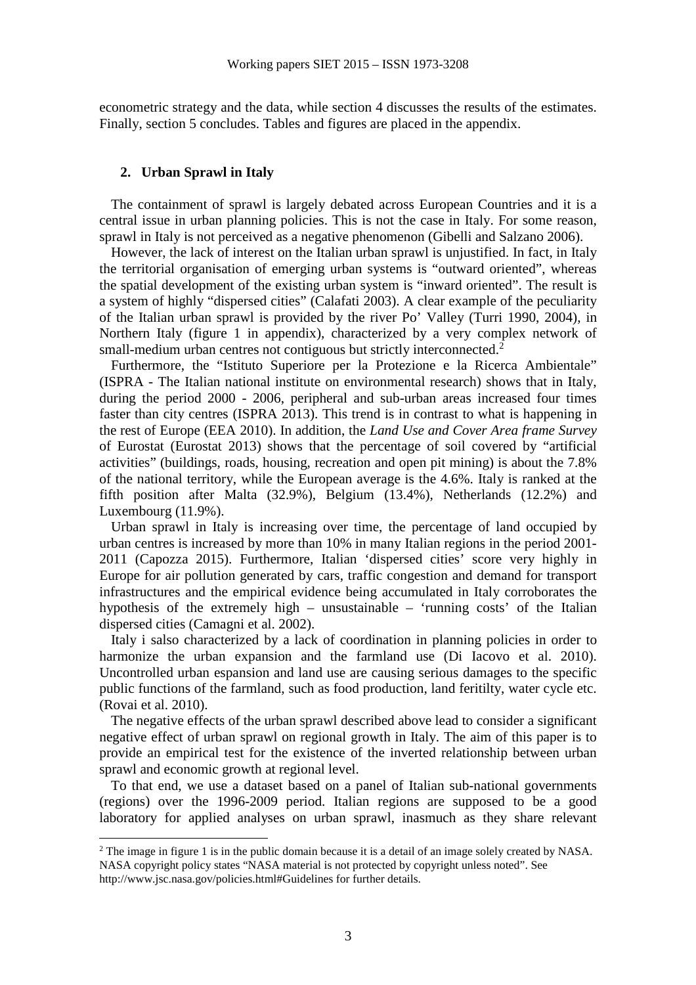econometric strategy and the data, while section 4 discusses the results of the estimates. Finally, section 5 concludes. Tables and figures are placed in the appendix.

## **2. Urban Sprawl in Italy**

 $\overline{a}$ 

The containment of sprawl is largely debated across European Countries and it is a central issue in urban planning policies. This is not the case in Italy. For some reason, sprawl in Italy is not perceived as a negative phenomenon (Gibelli and Salzano 2006).

However, the lack of interest on the Italian urban sprawl is unjustified. In fact, in Italy the territorial organisation of emerging urban systems is "outward oriented", whereas the spatial development of the existing urban system is "inward oriented". The result is a system of highly "dispersed cities" (Calafati 2003). A clear example of the peculiarity of the Italian urban sprawl is provided by the river Po' Valley (Turri 1990, 2004), in Northern Italy (figure 1 in appendix), characterized by a very complex network of small-medium urban centres not contiguous but strictly interconnected.<sup>2</sup>

Furthermore, the "Istituto Superiore per la Protezione e la Ricerca Ambientale" (ISPRA - The Italian national institute on environmental research) shows that in Italy, during the period 2000 - 2006, peripheral and sub-urban areas increased four times faster than city centres (ISPRA 2013). This trend is in contrast to what is happening in the rest of Europe (EEA 2010). In addition, the *Land Use and Cover Area frame Survey*  of Eurostat (Eurostat 2013) shows that the percentage of soil covered by "artificial activities" (buildings, roads, housing, recreation and open pit mining) is about the 7.8% of the national territory, while the European average is the 4.6%. Italy is ranked at the fifth position after Malta (32.9%), Belgium (13.4%), Netherlands (12.2%) and Luxembourg (11.9%).

Urban sprawl in Italy is increasing over time, the percentage of land occupied by urban centres is increased by more than 10% in many Italian regions in the period 2001- 2011 (Capozza 2015). Furthermore, Italian 'dispersed cities' score very highly in Europe for air pollution generated by cars, traffic congestion and demand for transport infrastructures and the empirical evidence being accumulated in Italy corroborates the hypothesis of the extremely high – unsustainable – 'running costs' of the Italian dispersed cities (Camagni et al. 2002).

Italy i salso characterized by a lack of coordination in planning policies in order to harmonize the urban expansion and the farmland use (Di Iacovo et al. 2010). Uncontrolled urban espansion and land use are causing serious damages to the specific public functions of the farmland, such as food production, land feritilty, water cycle etc. (Rovai et al. 2010).

The negative effects of the urban sprawl described above lead to consider a significant negative effect of urban sprawl on regional growth in Italy. The aim of this paper is to provide an empirical test for the existence of the inverted relationship between urban sprawl and economic growth at regional level.

To that end, we use a dataset based on a panel of Italian sub-national governments (regions) over the 1996-2009 period. Italian regions are supposed to be a good laboratory for applied analyses on urban sprawl, inasmuch as they share relevant

<sup>&</sup>lt;sup>2</sup> The image in figure 1 is in the public domain because it is a detail of an image solely created by NASA. NASA copyright policy states "NASA material is not protected by copyright unless noted". See http://www.jsc.nasa.gov/policies.html#Guidelines for further details.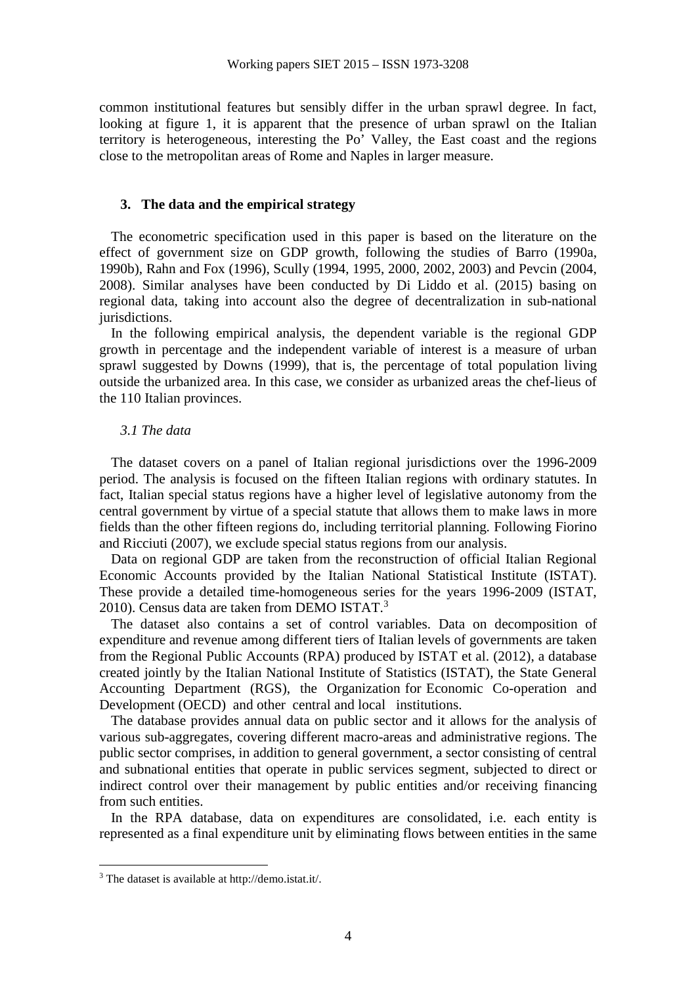common institutional features but sensibly differ in the urban sprawl degree. In fact, looking at figure 1, it is apparent that the presence of urban sprawl on the Italian territory is heterogeneous, interesting the Po' Valley, the East coast and the regions close to the metropolitan areas of Rome and Naples in larger measure.

## **3. The data and the empirical strategy**

The econometric specification used in this paper is based on the literature on the effect of government size on GDP growth, following the studies of Barro (1990a, 1990b), Rahn and Fox (1996), Scully (1994, 1995, 2000, 2002, 2003) and Pevcin (2004, 2008). Similar analyses have been conducted by Di Liddo et al. (2015) basing on regional data, taking into account also the degree of decentralization in sub-national jurisdictions.

In the following empirical analysis, the dependent variable is the regional GDP growth in percentage and the independent variable of interest is a measure of urban sprawl suggested by Downs (1999), that is, the percentage of total population living outside the urbanized area. In this case, we consider as urbanized areas the chef-lieus of the 110 Italian provinces.

### *3.1 The data*

The dataset covers on a panel of Italian regional jurisdictions over the 1996-2009 period. The analysis is focused on the fifteen Italian regions with ordinary statutes. In fact, Italian special status regions have a higher level of legislative autonomy from the central government by virtue of a special statute that allows them to make laws in more fields than the other fifteen regions do, including territorial planning. Following Fiorino and Ricciuti (2007), we exclude special status regions from our analysis.

Data on regional GDP are taken from the reconstruction of official Italian Regional Economic Accounts provided by the Italian National Statistical Institute (ISTAT). These provide a detailed time-homogeneous series for the years 1996-2009 (ISTAT, 2010). Census data are taken from DEMO ISTAT.<sup>3</sup>

The dataset also contains a set of control variables. Data on decomposition of expenditure and revenue among different tiers of Italian levels of governments are taken from the Regional Public Accounts (RPA) produced by ISTAT et al. (2012), a database created jointly by the Italian National Institute of Statistics (ISTAT), the State General Accounting Department (RGS), the Organization for Economic Co-operation and Development (OECD) and other central and local institutions.

The database provides annual data on public sector and it allows for the analysis of various sub-aggregates, covering different macro-areas and administrative regions. The public sector comprises, in addition to general government, a sector consisting of central and subnational entities that operate in public services segment, subjected to direct or indirect control over their management by public entities and/or receiving financing from such entities.

In the RPA database, data on expenditures are consolidated, i.e. each entity is represented as a final expenditure unit by eliminating flows between entities in the same

 $\overline{a}$ 

<sup>3</sup> The dataset is available at http://demo.istat.it/.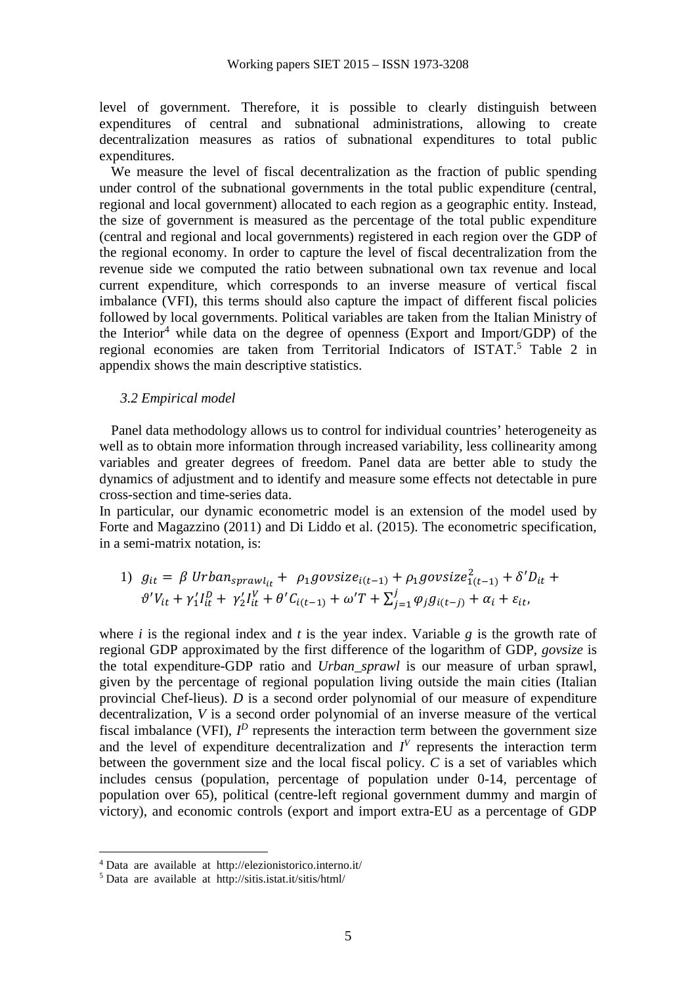level of government. Therefore, it is possible to clearly distinguish between expenditures of central and subnational administrations, allowing to create decentralization measures as ratios of subnational expenditures to total public expenditures.

We measure the level of fiscal decentralization as the fraction of public spending under control of the subnational governments in the total public expenditure (central, regional and local government) allocated to each region as a geographic entity. Instead, the size of government is measured as the percentage of the total public expenditure (central and regional and local governments) registered in each region over the GDP of the regional economy. In order to capture the level of fiscal decentralization from the revenue side we computed the ratio between subnational own tax revenue and local current expenditure, which corresponds to an inverse measure of vertical fiscal imbalance (VFI), this terms should also capture the impact of different fiscal policies followed by local governments. Political variables are taken from the Italian Ministry of the Interior<sup>4</sup> while data on the degree of openness (Export and Import/GDP) of the regional economies are taken from Territorial Indicators of ISTAT.<sup>5</sup> Table 2 in appendix shows the main descriptive statistics.

## *3.2 Empirical model*

Panel data methodology allows us to control for individual countries' heterogeneity as well as to obtain more information through increased variability, less collinearity among variables and greater degrees of freedom. Panel data are better able to study the dynamics of adjustment and to identify and measure some effects not detectable in pure cross-section and time-series data.

In particular, our dynamic econometric model is an extension of the model used by Forte and Magazzino (2011) and Di Liddo et al. (2015). The econometric specification, in a semi-matrix notation, is:

1) 
$$
g_{it} = \beta
$$
 Urban<sub>sprawl<sub>it</sub></sub> +  $\rho_1 g \text{ovsize}_{i(t-1)}^2 + \rho_1 g \text{ovsize}_{1(t-1)}^2 + \delta' D_{it} +$   
 $\vartheta' V_{it} + \gamma'_1 I_{it}^D + \gamma'_2 I_{it}^V + \theta' C_{i(t-1)} + \omega' T + \sum_{j=1}^j \varphi_j g_{i(t-j)} + \alpha_i + \varepsilon_{it},$ 

where  $i$  is the regional index and  $t$  is the year index. Variable  $g$  is the growth rate of regional GDP approximated by the first difference of the logarithm of GDP, *govsize* is the total expenditure-GDP ratio and *Urban\_sprawl* is our measure of urban sprawl, given by the percentage of regional population living outside the main cities (Italian provincial Chef-lieus). *D* is a second order polynomial of our measure of expenditure decentralization, *V* is a second order polynomial of an inverse measure of the vertical fiscal imbalance (VFI),  $I^D$  represents the interaction term between the government size and the level of expenditure decentralization and  $I<sup>V</sup>$  represents the interaction term between the government size and the local fiscal policy. *C* is a set of variables which includes census (population, percentage of population under 0-14, percentage of population over 65), political (centre-left regional government dummy and margin of victory), and economic controls (export and import extra-EU as a percentage of GDP

 $\overline{a}$ 

<sup>4</sup> Data are available at http://elezionistorico.interno.it/

<sup>5</sup> Data are available at http://sitis.istat.it/sitis/html/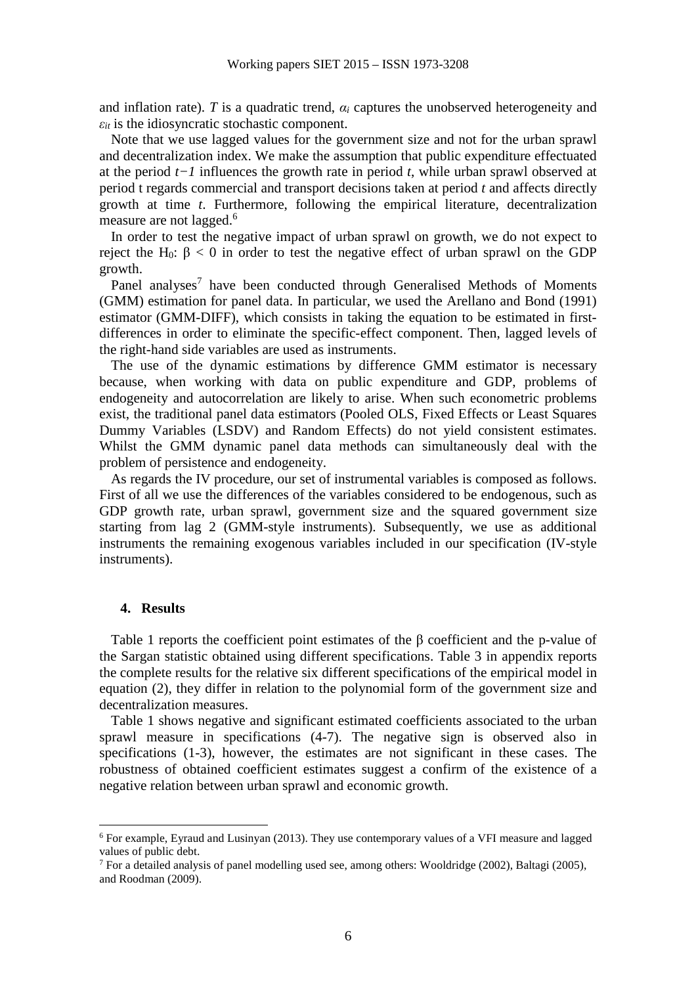and inflation rate). *T* is a quadratic trend,  $\alpha_i$  captures the unobserved heterogeneity and  $\varepsilon_{it}$  is the idiosyncratic stochastic component.

Note that we use lagged values for the government size and not for the urban sprawl and decentralization index. We make the assumption that public expenditure effectuated at the period *t−1* influences the growth rate in period *t*, while urban sprawl observed at period t regards commercial and transport decisions taken at period *t* and affects directly growth at time *t*. Furthermore, following the empirical literature, decentralization measure are not lagged.<sup>6</sup>

In order to test the negative impact of urban sprawl on growth, we do not expect to reject the H<sub>0</sub>:  $\beta$  < 0 in order to test the negative effect of urban sprawl on the GDP growth.

Panel analyses<sup>7</sup> have been conducted through Generalised Methods of Moments (GMM) estimation for panel data. In particular, we used the Arellano and Bond (1991) estimator (GMM-DIFF), which consists in taking the equation to be estimated in firstdifferences in order to eliminate the specific-effect component. Then, lagged levels of the right-hand side variables are used as instruments.

The use of the dynamic estimations by difference GMM estimator is necessary because, when working with data on public expenditure and GDP, problems of endogeneity and autocorrelation are likely to arise. When such econometric problems exist, the traditional panel data estimators (Pooled OLS, Fixed Effects or Least Squares Dummy Variables (LSDV) and Random Effects) do not yield consistent estimates. Whilst the GMM dynamic panel data methods can simultaneously deal with the problem of persistence and endogeneity.

As regards the IV procedure, our set of instrumental variables is composed as follows. First of all we use the differences of the variables considered to be endogenous, such as GDP growth rate, urban sprawl, government size and the squared government size starting from lag 2 (GMM-style instruments). Subsequently, we use as additional instruments the remaining exogenous variables included in our specification (IV-style instruments).

#### **4. Results**

 $\overline{a}$ 

Table 1 reports the coefficient point estimates of the β coefficient and the p-value of the Sargan statistic obtained using different specifications. Table 3 in appendix reports the complete results for the relative six different specifications of the empirical model in equation (2), they differ in relation to the polynomial form of the government size and decentralization measures.

Table 1 shows negative and significant estimated coefficients associated to the urban sprawl measure in specifications (4-7). The negative sign is observed also in specifications (1-3), however, the estimates are not significant in these cases. The robustness of obtained coefficient estimates suggest a confirm of the existence of a negative relation between urban sprawl and economic growth.

<sup>&</sup>lt;sup>6</sup> For example, Eyraud and Lusinyan (2013). They use contemporary values of a VFI measure and lagged values of public debt.

<sup>&</sup>lt;sup>7</sup> For a detailed analysis of panel modelling used see, among others: Wooldridge (2002), Baltagi (2005), and Roodman (2009).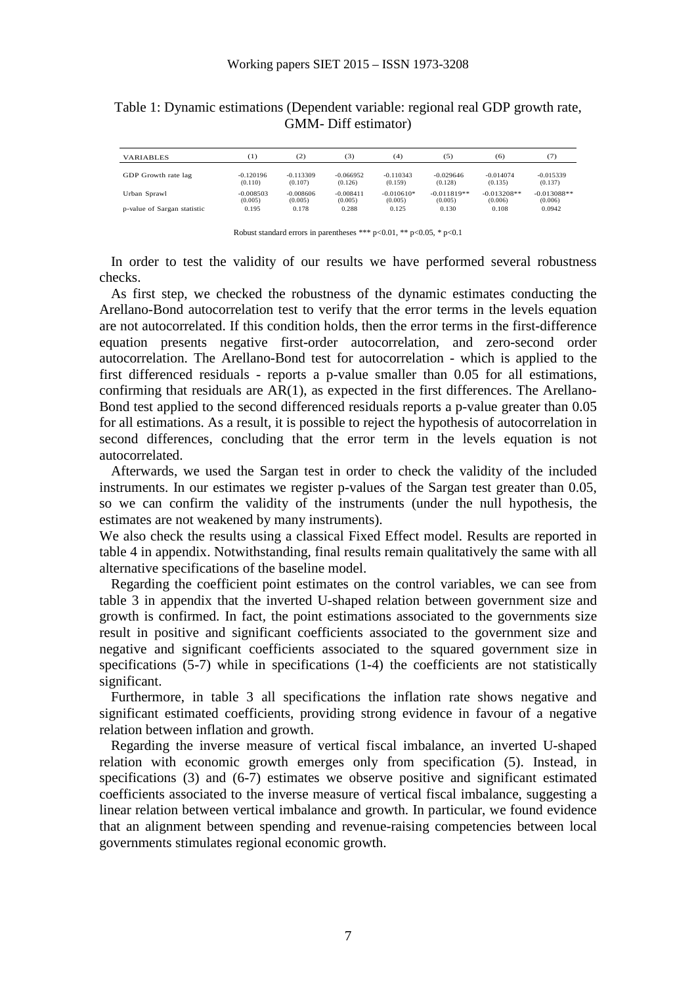| Table 1: Dynamic estimations (Dependent variable: regional real GDP growth rate, |  |
|----------------------------------------------------------------------------------|--|
| <b>GMM-</b> Diff estimator)                                                      |  |

| <b>VARIABLES</b>            | [1]         | (2)         | (3)         | (4)          | (5)           | (6)           | (7)           |
|-----------------------------|-------------|-------------|-------------|--------------|---------------|---------------|---------------|
| GDP Growth rate lag         | $-0.120196$ | $-0.113309$ | $-0.066952$ | $-0.110343$  | $-0.029646$   | $-0.014074$   | $-0.015339$   |
|                             | (0.110)     | (0.107)     | (0.126)     | (0.159)      | (0.128)       | (0.135)       | (0.137)       |
| Urban Sprawl                | $-0.008503$ | $-0.008606$ | $-0.008411$ | $-0.010610*$ | $-0.011819**$ | $-0.013208**$ | $-0.013088**$ |
|                             | (0.005)     | (0.005)     | (0.005)     | (0.005)      | (0.005)       | (0.006)       | (0.006)       |
| p-value of Sargan statistic | 0.195       | 0.178       | 0.288       | 0.125        | 0.130         | 0.108         | 0.0942        |

Robust standard errors in parentheses \*\*\* p<0.01, \*\* p<0.05, \* p<0.1

In order to test the validity of our results we have performed several robustness checks.

As first step, we checked the robustness of the dynamic estimates conducting the Arellano-Bond autocorrelation test to verify that the error terms in the levels equation are not autocorrelated. If this condition holds, then the error terms in the first-difference equation presents negative first-order autocorrelation, and zero-second order autocorrelation. The Arellano-Bond test for autocorrelation - which is applied to the first differenced residuals - reports a p-value smaller than 0.05 for all estimations, confirming that residuals are AR(1), as expected in the first differences. The Arellano-Bond test applied to the second differenced residuals reports a p-value greater than 0.05 for all estimations. As a result, it is possible to reject the hypothesis of autocorrelation in second differences, concluding that the error term in the levels equation is not autocorrelated.

Afterwards, we used the Sargan test in order to check the validity of the included instruments. In our estimates we register p-values of the Sargan test greater than 0.05, so we can confirm the validity of the instruments (under the null hypothesis, the estimates are not weakened by many instruments).

We also check the results using a classical Fixed Effect model. Results are reported in table 4 in appendix. Notwithstanding, final results remain qualitatively the same with all alternative specifications of the baseline model.

Regarding the coefficient point estimates on the control variables, we can see from table 3 in appendix that the inverted U-shaped relation between government size and growth is confirmed. In fact, the point estimations associated to the governments size result in positive and significant coefficients associated to the government size and negative and significant coefficients associated to the squared government size in specifications (5-7) while in specifications (1-4) the coefficients are not statistically significant.

Furthermore, in table 3 all specifications the inflation rate shows negative and significant estimated coefficients, providing strong evidence in favour of a negative relation between inflation and growth.

Regarding the inverse measure of vertical fiscal imbalance, an inverted U-shaped relation with economic growth emerges only from specification (5). Instead, in specifications (3) and (6-7) estimates we observe positive and significant estimated coefficients associated to the inverse measure of vertical fiscal imbalance, suggesting a linear relation between vertical imbalance and growth. In particular, we found evidence that an alignment between spending and revenue-raising competencies between local governments stimulates regional economic growth.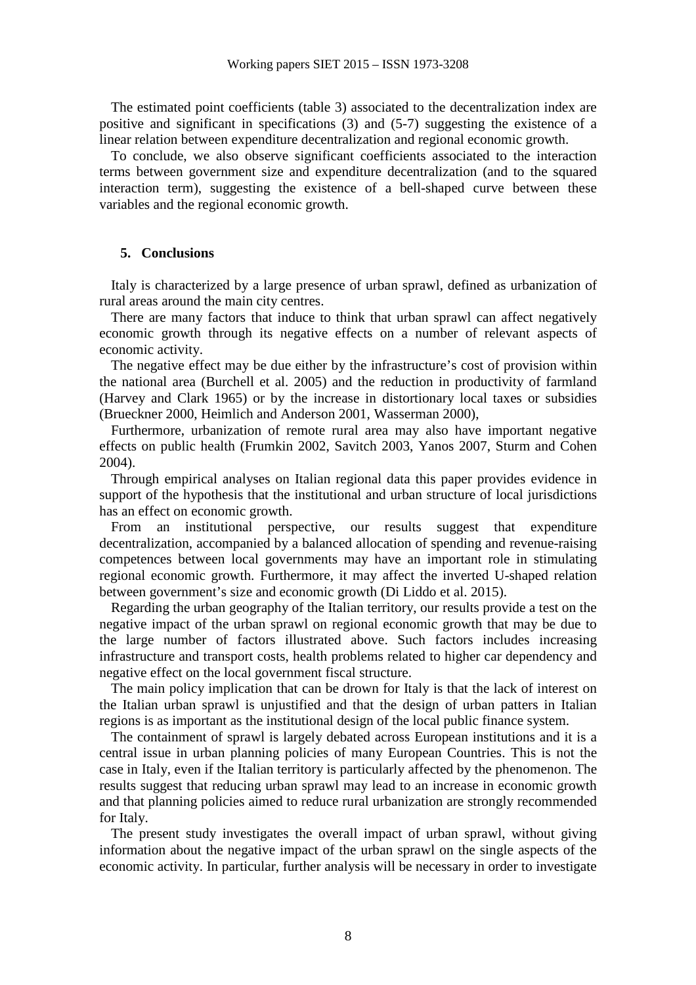The estimated point coefficients (table 3) associated to the decentralization index are positive and significant in specifications (3) and (5-7) suggesting the existence of a linear relation between expenditure decentralization and regional economic growth.

To conclude, we also observe significant coefficients associated to the interaction terms between government size and expenditure decentralization (and to the squared interaction term), suggesting the existence of a bell-shaped curve between these variables and the regional economic growth.

### **5. Conclusions**

Italy is characterized by a large presence of urban sprawl, defined as urbanization of rural areas around the main city centres.

There are many factors that induce to think that urban sprawl can affect negatively economic growth through its negative effects on a number of relevant aspects of economic activity.

The negative effect may be due either by the infrastructure's cost of provision within the national area (Burchell et al. 2005) and the reduction in productivity of farmland (Harvey and Clark 1965) or by the increase in distortionary local taxes or subsidies (Brueckner 2000, Heimlich and Anderson 2001, Wasserman 2000),

Furthermore, urbanization of remote rural area may also have important negative effects on public health (Frumkin 2002, Savitch 2003, Yanos 2007, Sturm and Cohen 2004).

Through empirical analyses on Italian regional data this paper provides evidence in support of the hypothesis that the institutional and urban structure of local jurisdictions has an effect on economic growth.

From an institutional perspective, our results suggest that expenditure decentralization, accompanied by a balanced allocation of spending and revenue-raising competences between local governments may have an important role in stimulating regional economic growth. Furthermore, it may affect the inverted U-shaped relation between government's size and economic growth (Di Liddo et al. 2015).

Regarding the urban geography of the Italian territory, our results provide a test on the negative impact of the urban sprawl on regional economic growth that may be due to the large number of factors illustrated above. Such factors includes increasing infrastructure and transport costs, health problems related to higher car dependency and negative effect on the local government fiscal structure.

The main policy implication that can be drown for Italy is that the lack of interest on the Italian urban sprawl is unjustified and that the design of urban patters in Italian regions is as important as the institutional design of the local public finance system.

The containment of sprawl is largely debated across European institutions and it is a central issue in urban planning policies of many European Countries. This is not the case in Italy, even if the Italian territory is particularly affected by the phenomenon. The results suggest that reducing urban sprawl may lead to an increase in economic growth and that planning policies aimed to reduce rural urbanization are strongly recommended for Italy.

The present study investigates the overall impact of urban sprawl, without giving information about the negative impact of the urban sprawl on the single aspects of the economic activity. In particular, further analysis will be necessary in order to investigate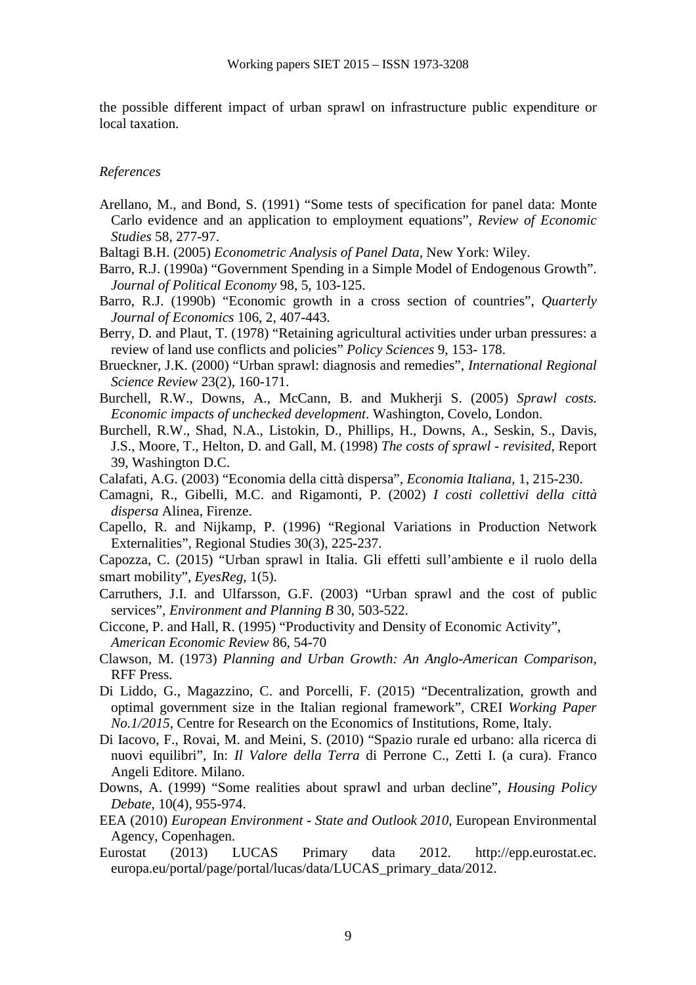the possible different impact of urban sprawl on infrastructure public expenditure or local taxation.

### *References*

- Arellano, M., and Bond, S. (1991) "Some tests of specification for panel data: Monte Carlo evidence and an application to employment equations", *Review of Economic Studies* 58, 277-97.
- Baltagi B.H. (2005) *Econometric Analysis of Panel Data,* New York: Wiley.
- Barro, R.J. (1990a) "Government Spending in a Simple Model of Endogenous Growth". *Journal of Political Economy* 98, 5, 103-125.
- Barro, R.J. (1990b) "Economic growth in a cross section of countries", *Quarterly Journal of Economics* 106, 2, 407-443.
- Berry, D. and Plaut, T. (1978) "Retaining agricultural activities under urban pressures: a review of land use conflicts and policies" *Policy Sciences* 9, 153- 178.
- Brueckner, J.K. (2000) "Urban sprawl: diagnosis and remedies", *International Regional Science Review* 23(2), 160-171.
- Burchell, R.W., Downs, A., McCann, B. and Mukherji S. (2005) *Sprawl costs. Economic impacts of unchecked development*. Washington, Covelo, London.
- Burchell, R.W., Shad, N.A., Listokin, D., Phillips, H., Downs, A., Seskin, S., Davis, J.S., Moore, T., Helton, D. and Gall, M. (1998) *The costs of sprawl - revisited*, Report 39, Washington D.C.
- Calafati, A.G. (2003) "Economia della città dispersa", *Economia Italiana*, 1, 215-230.
- Camagni, R., Gibelli, M.C. and Rigamonti, P. (2002) *I costi collettivi della città dispersa* Alinea, Firenze.
- Capello, R. and Nijkamp, P. (1996) "Regional Variations in Production Network Externalities", Regional Studies 30(3), 225-237.
- Capozza, C. (2015) "Urban sprawl in Italia. Gli effetti sull'ambiente e il ruolo della smart mobility", *EyesReg*, 1(5).
- Carruthers, J.I. and Ulfarsson, G.F. (2003) "Urban sprawl and the cost of public services", *Environment and Planning B* 30, 503-522.
- Ciccone, P. and Hall, R. (1995) "Productivity and Density of Economic Activity", *American Economic Review* 86, 54-70
- Clawson, M. (1973) *Planning and Urban Growth: An Anglo-American Comparison*, RFF Press.
- Di Liddo, G., Magazzino, C. and Porcelli, F. (2015) "Decentralization, growth and optimal government size in the Italian regional framework", CREI *Working Paper No.1/2015*, Centre for Research on the Economics of Institutions, Rome, Italy.
- Di Iacovo, F., Rovai, M. and Meini, S. (2010) "Spazio rurale ed urbano: alla ricerca di nuovi equilibri", In: *Il Valore della Terra* di Perrone C., Zetti I. (a cura). Franco Angeli Editore. Milano.
- Downs, A. (1999) "Some realities about sprawl and urban decline", *Housing Policy Debate*, 10(4), 955-974.
- EEA (2010) *European Environment State and Outlook 2010,* European Environmental Agency, Copenhagen.
- Eurostat (2013) LUCAS Primary data 2012. http://epp.eurostat.ec. europa.eu/portal/page/portal/lucas/data/LUCAS\_primary\_data/2012.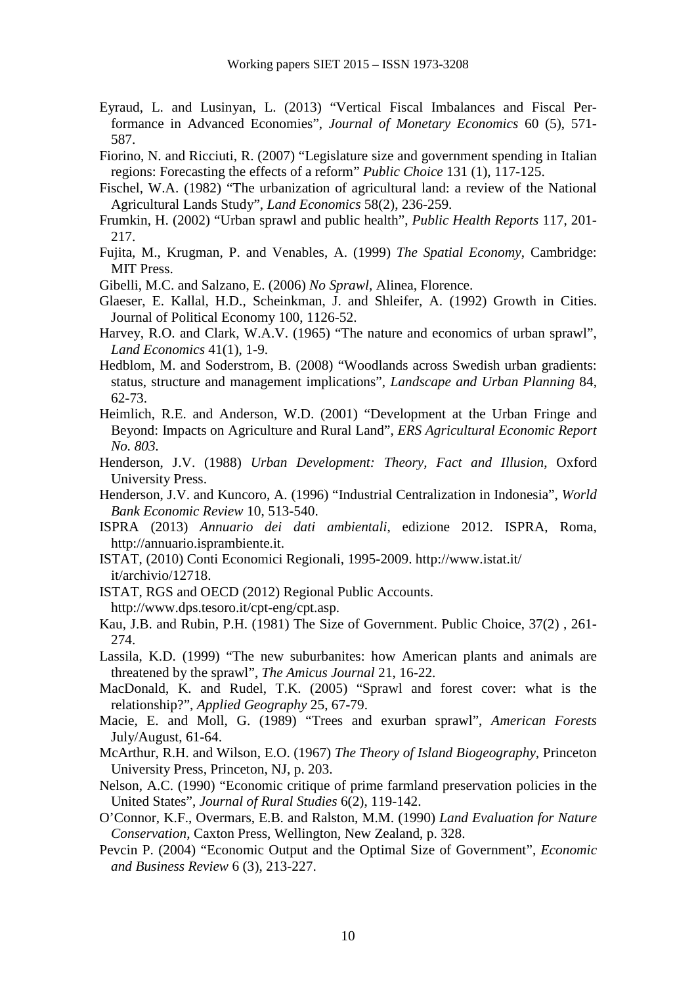- Eyraud, L. and Lusinyan, L. (2013) "Vertical Fiscal Imbalances and Fiscal Performance in Advanced Economies", *Journal of Monetary Economics* 60 (5), 571- 587.
- Fiorino, N. and Ricciuti, R. (2007) "Legislature size and government spending in Italian regions: Forecasting the effects of a reform" *Public Choice* 131 (1), 117-125.
- Fischel, W.A. (1982) "The urbanization of agricultural land: a review of the National Agricultural Lands Study", *Land Economics* 58(2), 236-259.
- Frumkin, H. (2002) "Urban sprawl and public health", *Public Health Reports* 117, 201- 217.
- Fujita, M., Krugman, P. and Venables, A. (1999) *The Spatial Economy*, Cambridge: MIT Press.
- Gibelli, M.C. and Salzano, E. (2006) *No Sprawl*, Alinea, Florence.
- Glaeser, E. Kallal, H.D., Scheinkman, J. and Shleifer, A. (1992) Growth in Cities. Journal of Political Economy 100, 1126-52.
- Harvey, R.O. and Clark, W.A.V. (1965) "The nature and economics of urban sprawl", *Land Economics* 41(1), 1-9.
- Hedblom, M. and Soderstrom, B. (2008) "Woodlands across Swedish urban gradients: status, structure and management implications", *Landscape and Urban Planning* 84, 62-73.
- Heimlich, R.E. and Anderson, W.D. (2001) "Development at the Urban Fringe and Beyond: Impacts on Agriculture and Rural Land", *ERS Agricultural Economic Report No. 803.*
- Henderson, J.V. (1988) *Urban Development: Theory, Fact and Illusion*, Oxford University Press.
- Henderson, J.V. and Kuncoro, A. (1996) "Industrial Centralization in Indonesia", *World Bank Economic Review* 10, 513-540.
- ISPRA (2013) *Annuario dei dati ambientali*, edizione 2012. ISPRA, Roma, http://annuario.isprambiente.it.
- ISTAT, (2010) Conti Economici Regionali, 1995-2009. http://www.istat.it/ it/archivio/12718.
- ISTAT, RGS and OECD (2012) Regional Public Accounts. http://www.dps.tesoro.it/cpt-eng/cpt.asp.
- Kau, J.B. and Rubin, P.H. (1981) The Size of Government. Public Choice, 37(2) , 261- 274.
- Lassila, K.D. (1999) "The new suburbanites: how American plants and animals are threatened by the sprawl", *The Amicus Journal* 21, 16-22.
- MacDonald, K. and Rudel, T.K. (2005) "Sprawl and forest cover: what is the relationship?", *Applied Geography* 25, 67-79.
- Macie, E. and Moll, G. (1989) "Trees and exurban sprawl", *American Forests* July/August, 61-64.
- McArthur, R.H. and Wilson, E.O. (1967) *The Theory of Island Biogeography,* Princeton University Press, Princeton, NJ, p. 203.
- Nelson, A.C. (1990) "Economic critique of prime farmland preservation policies in the United States", *Journal of Rural Studies* 6(2), 119-142.
- O'Connor, K.F., Overmars, E.B. and Ralston, M.M. (1990) *Land Evaluation for Nature Conservation*, Caxton Press, Wellington, New Zealand, p. 328.
- Pevcin P. (2004) "Economic Output and the Optimal Size of Government", *Economic and Business Review* 6 (3), 213-227.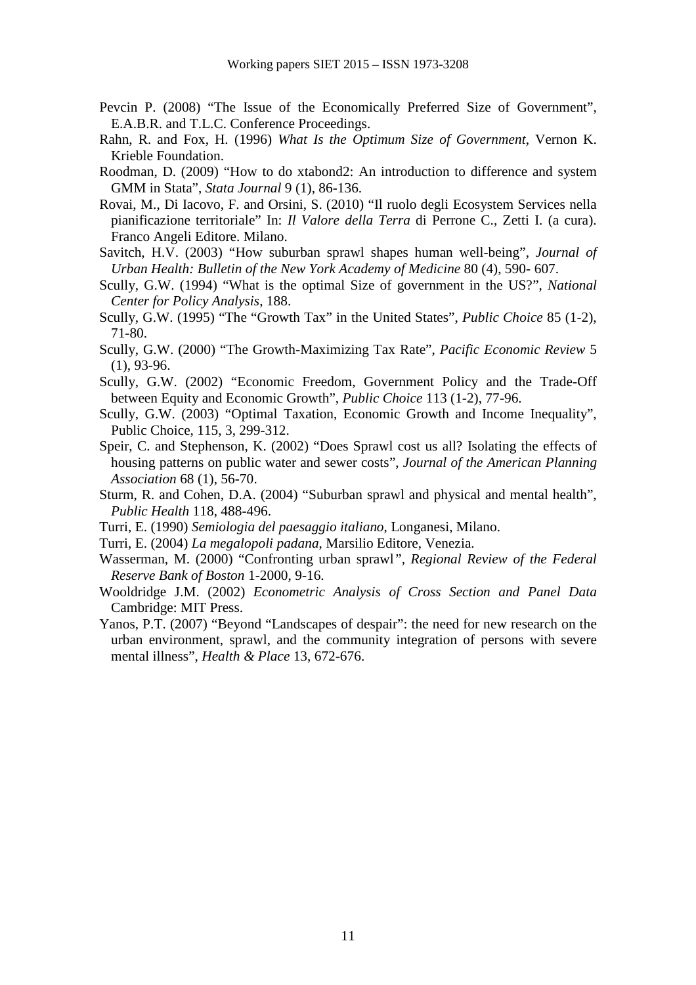- Pevcin P. (2008) "The Issue of the Economically Preferred Size of Government", E.A.B.R. and T.L.C. Conference Proceedings.
- Rahn, R. and Fox, H. (1996) *What Is the Optimum Size of Government*, Vernon K. Krieble Foundation.
- Roodman, D. (2009) "How to do xtabond2: An introduction to difference and system GMM in Stata", *Stata Journal* 9 (1), 86-136.
- Rovai, M., Di Iacovo, F. and Orsini, S. (2010) "Il ruolo degli Ecosystem Services nella pianificazione territoriale" In: *Il Valore della Terra* di Perrone C., Zetti I. (a cura). Franco Angeli Editore. Milano.
- Savitch, H.V. (2003) "How suburban sprawl shapes human well-being", *Journal of Urban Health: Bulletin of the New York Academy of Medicine* 80 (4), 590- 607.
- Scully, G.W. (1994) "What is the optimal Size of government in the US?", *National Center for Policy Analysis*, 188.
- Scully, G.W. (1995) "The "Growth Tax" in the United States", *Public Choice* 85 (1-2), 71-80.
- Scully, G.W. (2000) "The Growth-Maximizing Tax Rate", *Pacific Economic Review* 5 (1), 93-96.
- Scully, G.W. (2002) "Economic Freedom, Government Policy and the Trade-Off between Equity and Economic Growth", *Public Choice* 113 (1-2), 77-96.
- Scully, G.W. (2003) "Optimal Taxation, Economic Growth and Income Inequality", Public Choice, 115, 3, 299-312.
- Speir, C. and Stephenson, K. (2002) "Does Sprawl cost us all? Isolating the effects of housing patterns on public water and sewer costs", *Journal of the American Planning Association* 68 (1), 56-70.
- Sturm, R. and Cohen, D.A. (2004) "Suburban sprawl and physical and mental health", *Public Health* 118, 488-496.
- Turri, E. (1990) *Semiologia del paesaggio italiano*, Longanesi, Milano.
- Turri, E. (2004) *La megalopoli padana*, Marsilio Editore, Venezia.
- Wasserman, M. (2000) "Confronting urban sprawl*", Regional Review of the Federal Reserve Bank of Boston* 1-2000, 9-16.
- Wooldridge J.M. (2002) *Econometric Analysis of Cross Section and Panel Data* Cambridge: MIT Press.
- Yanos, P.T. (2007) "Beyond "Landscapes of despair": the need for new research on the urban environment, sprawl, and the community integration of persons with severe mental illness", *Health & Place* 13, 672-676.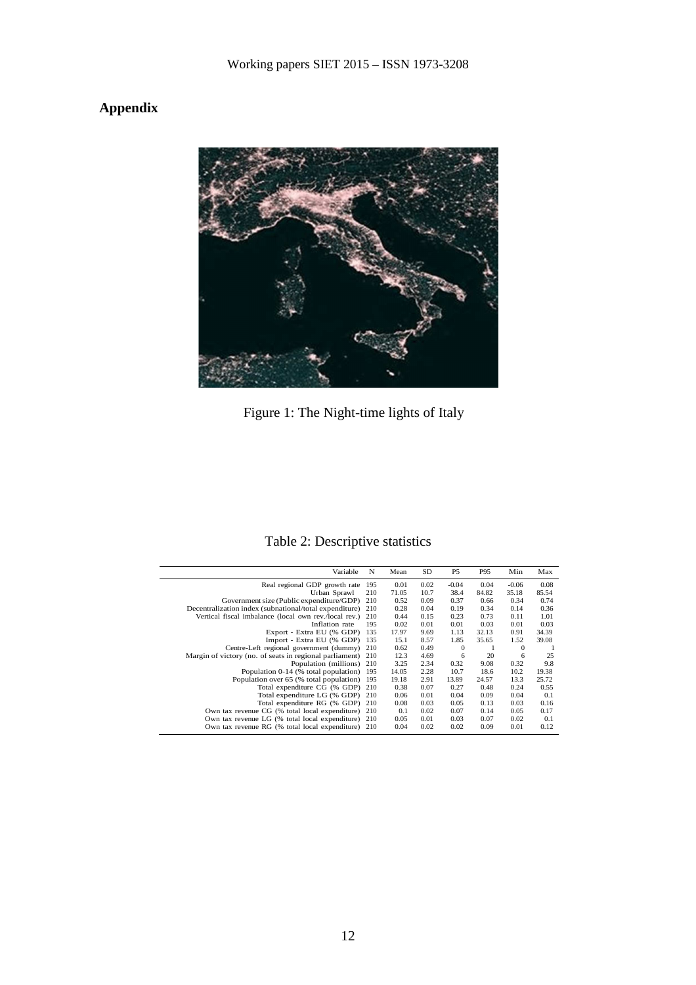## **Appendix**



Figure 1: The Night-time lights of Italy

## Table 2: Descriptive statistics

| Variable                                                | N   | Mean  | SD   | P <sub>5</sub> | P95   | Min     | Max   |
|---------------------------------------------------------|-----|-------|------|----------------|-------|---------|-------|
| Real regional GDP growth rate                           | 195 | 0.01  | 0.02 | $-0.04$        | 0.04  | $-0.06$ | 0.08  |
| Urban Sprawl                                            | 210 | 71.05 | 10.7 | 38.4           | 84.82 | 35.18   | 85.54 |
| Government size (Public expenditure/GDP)                | 210 | 0.52  | 0.09 | 0.37           | 0.66  | 0.34    | 0.74  |
| Decentralization index (subnational/total expenditure)  | 210 | 0.28  | 0.04 | 0.19           | 0.34  | 0.14    | 0.36  |
| Vertical fiscal imbalance (local own rev./local rev.)   | 210 | 0.44  | 0.15 | 0.23           | 0.73  | 0.11    | 1.01  |
| Inflation rate                                          | 195 | 0.02  | 0.01 | 0.01           | 0.03  | 0.01    | 0.03  |
| Export - Extra EU (% GDP)                               | 135 | 17.97 | 9.69 | 1.13           | 32.13 | 0.91    | 34.39 |
| Import - Extra EU (% GDP)                               | 135 | 15.1  | 8.57 | 1.85           | 35.65 | 1.52    | 39.08 |
| Centre-Left regional government (dummy)                 | 210 | 0.62  | 0.49 | $\mathbf{0}$   |       | 0       |       |
| Margin of victory (no. of seats in regional parliament) | 210 | 12.3  | 4.69 | 6              | 20    | 6       | 25    |
| Population (millions)                                   | 210 | 3.25  | 2.34 | 0.32           | 9.08  | 0.32    | 9.8   |
| Population 0-14 (% total population)                    | 195 | 14.05 | 2.28 | 10.7           | 18.6  | 10.2    | 19.38 |
| Population over 65 (% total population)                 | 195 | 19.18 | 2.91 | 13.89          | 24.57 | 13.3    | 25.72 |
| Total expenditure CG (% GDP)                            | 210 | 0.38  | 0.07 | 0.27           | 0.48  | 0.24    | 0.55  |
| Total expenditure LG (% GDP)                            | 210 | 0.06  | 0.01 | 0.04           | 0.09  | 0.04    | 0.1   |
| Total expenditure RG (% GDP)                            | 210 | 0.08  | 0.03 | 0.05           | 0.13  | 0.03    | 0.16  |
| Own tax revenue CG (% total local expenditure)          | 210 | 0.1   | 0.02 | 0.07           | 0.14  | 0.05    | 0.17  |
| Own tax revenue LG (% total local expenditure)          | 210 | 0.05  | 0.01 | 0.03           | 0.07  | 0.02    | 0.1   |
| Own tax revenue RG (% total local expenditure)          | 210 | 0.04  | 0.02 | 0.02           | 0.09  | 0.01    | 0.12  |
|                                                         |     |       |      |                |       |         |       |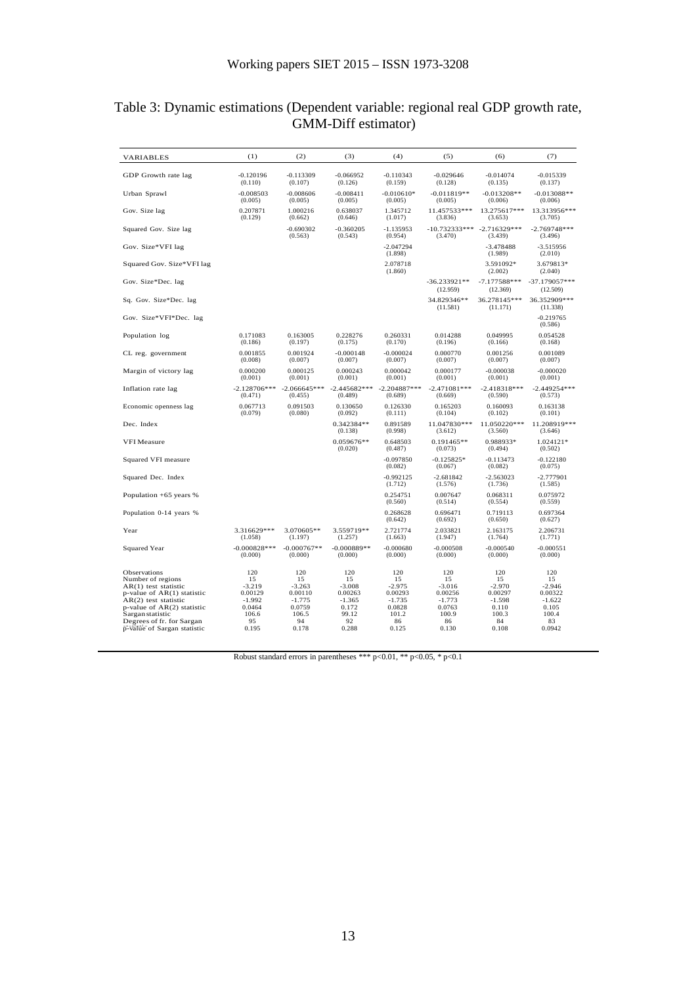| Table 3: Dynamic estimations (Dependent variable: regional real GDP growth rate, |                     |  |  |  |
|----------------------------------------------------------------------------------|---------------------|--|--|--|
|                                                                                  | GMM-Diff estimator) |  |  |  |

| <b>VARIABLES</b>                                                                                                                                                                                                                               | (1)                                                                            | (2)                                                                            | (3)                                                                           | (4)                                                                            | (5)                                                                            | (6)                                                                           | (7)                                                                            |
|------------------------------------------------------------------------------------------------------------------------------------------------------------------------------------------------------------------------------------------------|--------------------------------------------------------------------------------|--------------------------------------------------------------------------------|-------------------------------------------------------------------------------|--------------------------------------------------------------------------------|--------------------------------------------------------------------------------|-------------------------------------------------------------------------------|--------------------------------------------------------------------------------|
| GDP Growth rate lag                                                                                                                                                                                                                            | $-0.120196$<br>(0.110)                                                         | $-0.113309$<br>(0.107)                                                         | $-0.066952$<br>(0.126)                                                        | $-0.110343$<br>(0.159)                                                         | $-0.029646$<br>(0.128)                                                         | $-0.014074$<br>(0.135)                                                        | $-0.015339$<br>(0.137)                                                         |
| Urban Sprawl                                                                                                                                                                                                                                   | $-0.008503$<br>(0.005)                                                         | $-0.008606$<br>(0.005)                                                         | $-0.008411$<br>(0.005)                                                        | $-0.010610*$<br>(0.005)                                                        | $-0.011819**$<br>(0.005)                                                       | $-0.013208**$<br>(0.006)                                                      | $-0.013088**$<br>(0.006)                                                       |
| Gov. Size lag                                                                                                                                                                                                                                  | 0.207871<br>(0.129)                                                            | 1.000216<br>(0.662)                                                            | 0.638037<br>(0.646)                                                           | 1.345712<br>(1.017)                                                            | 11.457533***<br>(3.836)                                                        | 13.275617***<br>(3.653)                                                       | 13.313956***<br>(3.705)                                                        |
| Squared Gov. Size lag                                                                                                                                                                                                                          |                                                                                | $-0.690302$<br>(0.563)                                                         | $-0.360205$<br>(0.543)                                                        | $-1.135953$<br>(0.954)                                                         | $-10.732333***$<br>(3.470)                                                     | $-2.716329***$<br>(3.439)                                                     | $-2.769748***$<br>(3.496)                                                      |
| Gov. Size*VFI lag                                                                                                                                                                                                                              |                                                                                |                                                                                |                                                                               | $-2.047294$<br>(1.898)                                                         |                                                                                | $-3.478488$<br>(1.989)                                                        | $-3.515956$<br>(2.010)                                                         |
| Squared Gov. Size*VFI lag                                                                                                                                                                                                                      |                                                                                |                                                                                |                                                                               | 2.078718<br>(1.860)                                                            |                                                                                | 3.591092*<br>(2.002)                                                          | 3.679813*<br>(2.040)                                                           |
| Gov. Size*Dec. lag                                                                                                                                                                                                                             |                                                                                |                                                                                |                                                                               |                                                                                | $-36.233921**$<br>(12.959)                                                     | $-7.177588***$<br>(12.369)                                                    | $-37.179057***$<br>(12.509)                                                    |
| Sq. Gov. Size*Dec. lag                                                                                                                                                                                                                         |                                                                                |                                                                                |                                                                               |                                                                                | 34.829346**<br>(11.581)                                                        | 36.278145***<br>(11.171)                                                      | 36.352909***<br>(11.338)                                                       |
| Gov. Size*VFI*Dec. lag                                                                                                                                                                                                                         |                                                                                |                                                                                |                                                                               |                                                                                |                                                                                |                                                                               | $-0.219765$<br>(0.586)                                                         |
| Population log                                                                                                                                                                                                                                 | 0.171083<br>(0.186)                                                            | 0.163005<br>(0.197)                                                            | 0.228276<br>(0.175)                                                           | 0.260331<br>(0.170)                                                            | 0.014288<br>(0.196)                                                            | 0.049995<br>(0.166)                                                           | 0.054528<br>(0.168)                                                            |
| CL reg. government                                                                                                                                                                                                                             | 0.001855<br>(0.008)                                                            | 0.001924<br>(0.007)                                                            | $-0.000148$<br>(0.007)                                                        | $-0.000024$<br>(0.007)                                                         | 0.000770<br>(0.007)                                                            | 0.001256<br>(0.007)                                                           | 0.001089<br>(0.007)                                                            |
| Margin of victory lag                                                                                                                                                                                                                          | 0.000200<br>(0.001)                                                            | 0.000125<br>(0.001)                                                            | 0.000243<br>(0.001)                                                           | 0.000042<br>(0.001)                                                            | 0.000177<br>(0.001)                                                            | $-0.000038$<br>(0.001)                                                        | $-0.000020$<br>(0.001)                                                         |
| Inflation rate lag                                                                                                                                                                                                                             | $-2.128706***$<br>(0.471)                                                      | $-2.066645***$<br>(0.455)                                                      | $-2.445682***$<br>(0.489)                                                     | $-2.204887***$<br>(0.689)                                                      | $-2.471081***$<br>(0.669)                                                      | $-2.418318***$<br>(0.590)                                                     | $-2.449254***$<br>(0.573)                                                      |
| Economic openness lag                                                                                                                                                                                                                          | 0.067713<br>(0.079)                                                            | 0.091503<br>(0.080)                                                            | 0.130650<br>(0.092)                                                           | 0.126330<br>(0.111)                                                            | 0.165203<br>(0.104)                                                            | 0.160093<br>(0.102)                                                           | 0.163138<br>(0.101)                                                            |
| Dec. Index                                                                                                                                                                                                                                     |                                                                                |                                                                                | 0.342384**<br>(0.138)                                                         | 0.891589<br>(0.998)                                                            | 11.047830***<br>(3.612)                                                        | 11.050220***<br>(3.560)                                                       | 11.208919***<br>(3.646)                                                        |
| VFI Measure                                                                                                                                                                                                                                    |                                                                                |                                                                                | $0.059676**$<br>(0.020)                                                       | 0.648503<br>(0.487)                                                            | $0.191465**$<br>(0.073)                                                        | 0.988933*<br>(0.494)                                                          | 1.024121*<br>(0.502)                                                           |
| Squared VFI measure                                                                                                                                                                                                                            |                                                                                |                                                                                |                                                                               | $-0.097850$<br>(0.082)                                                         | $-0.125825*$<br>(0.067)                                                        | $-0.113473$<br>(0.082)                                                        | $-0.122180$<br>(0.075)                                                         |
| Squared Dec. Index                                                                                                                                                                                                                             |                                                                                |                                                                                |                                                                               | $-0.992125$<br>(1.712)                                                         | $-2.681842$<br>(1.576)                                                         | $-2.563023$<br>(1.736)                                                        | $-2.777901$<br>(1.585)                                                         |
| Population $+65$ years %                                                                                                                                                                                                                       |                                                                                |                                                                                |                                                                               | 0.254751<br>(0.560)                                                            | 0.007647<br>(0.514)                                                            | 0.068311<br>(0.554)                                                           | 0.075972<br>(0.559)                                                            |
| Population 0-14 years %                                                                                                                                                                                                                        |                                                                                |                                                                                |                                                                               | 0.268628<br>(0.642)                                                            | 0.696471<br>(0.692)                                                            | 0.719113<br>(0.650)                                                           | 0.697364<br>(0.627)                                                            |
| Year                                                                                                                                                                                                                                           | 3.316629***<br>(1.058)                                                         | 3.070605**<br>(1.197)                                                          | 3.559719**<br>(1.257)                                                         | 2.721774<br>(1.663)                                                            | 2.033821<br>(1.947)                                                            | 2.163175<br>(1.764)                                                           | 2.206731<br>(1.771)                                                            |
| Squared Year                                                                                                                                                                                                                                   | $-0.000828***$<br>(0.000)                                                      | $-0.000767**$<br>(0.000)                                                       | $-0.000889**$<br>(0.000)                                                      | $-0.000680$<br>(0.000)                                                         | $-0.000508$<br>(0.000)                                                         | $-0.000540$<br>(0.000)                                                        | $-0.000551$<br>(0.000)                                                         |
| <b>Observations</b><br>Number of regions<br>$AR(1)$ test statistic<br>$p$ -value of AR $(1)$ statistic<br>$AR(2)$ test statistic<br>p-value of AR(2) statistic<br>Sargan statistic<br>Degrees of fr. for Sargan<br>p-value of Sargan statistic | 120<br>15<br>$-3.219$<br>0.00129<br>$-1.992$<br>0.0464<br>106.6<br>95<br>0.195 | 120<br>15<br>$-3.263$<br>0.00110<br>$-1.775$<br>0.0759<br>106.5<br>94<br>0.178 | 120<br>15<br>$-3.008$<br>0.00263<br>$-1.365$<br>0.172<br>99.12<br>92<br>0.288 | 120<br>15<br>$-2.975$<br>0.00293<br>$-1.735$<br>0.0828<br>101.2<br>86<br>0.125 | 120<br>15<br>$-3.016$<br>0.00256<br>$-1.773$<br>0.0763<br>100.9<br>86<br>0.130 | 120<br>15<br>$-2.970$<br>0.00297<br>$-1.598$<br>0.110<br>100.3<br>84<br>0.108 | 120<br>15<br>$-2.946$<br>0.00322<br>$-1.622$<br>0.105<br>100.4<br>83<br>0.0942 |

Robust standard errors in parentheses \*\*\* p<0.01, \*\* p<0.05, \* p<0.1